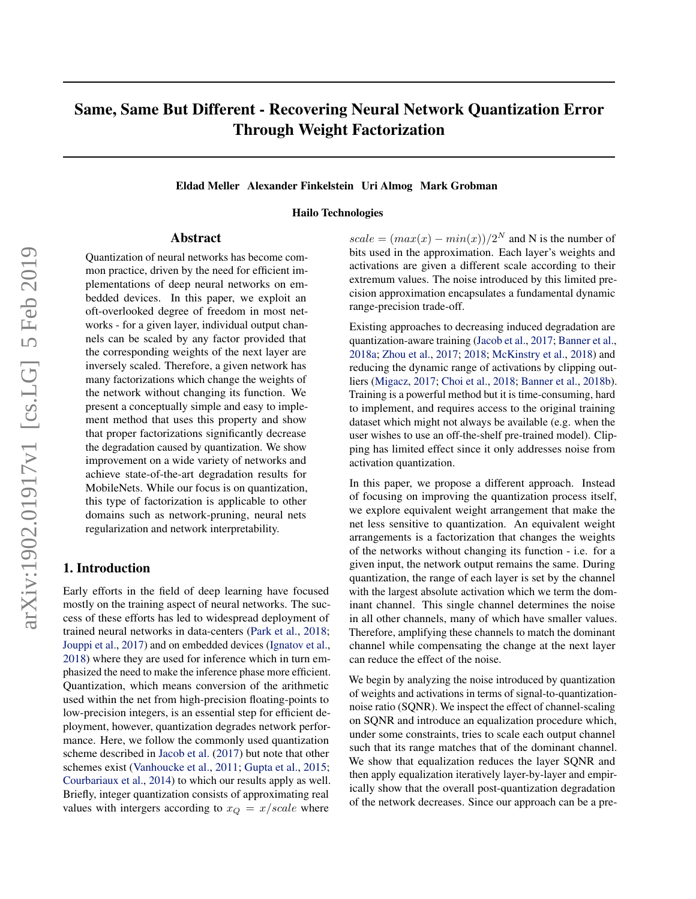# Same, Same But Different - Recovering Neural Network Quantization Error Through Weight Factorization

#### Eldad Meller Alexander Finkelstein Uri Almog Mark Grobman

### Hailo Technologies

### Abstract

Quantization of neural networks has become common practice, driven by the need for efficient implementations of deep neural networks on embedded devices. In this paper, we exploit an oft-overlooked degree of freedom in most networks - for a given layer, individual output channels can be scaled by any factor provided that the corresponding weights of the next layer are inversely scaled. Therefore, a given network has many factorizations which change the weights of the network without changing its function. We present a conceptually simple and easy to implement method that uses this property and show that proper factorizations significantly decrease the degradation caused by quantization. We show improvement on a wide variety of networks and achieve state-of-the-art degradation results for MobileNets. While our focus is on quantization, this type of factorization is applicable to other domains such as network-pruning, neural nets regularization and network interpretability.

# 1. Introduction

Early efforts in the field of deep learning have focused mostly on the training aspect of neural networks. The success of these efforts has led to widespread deployment of trained neural networks in data-centers [\(Park et al.,](#page-9-0) [2018;](#page-9-0) [Jouppi et al.,](#page-8-0) [2017\)](#page-8-0) and on embedded devices [\(Ignatov et al.,](#page-8-0) [2018\)](#page-8-0) where they are used for inference which in turn emphasized the need to make the inference phase more efficient. Quantization, which means conversion of the arithmetic used within the net from high-precision floating-points to low-precision integers, is an essential step for efficient deployment, however, quantization degrades network performance. Here, we follow the commonly used quantization scheme described in [Jacob et al.](#page-8-0) [\(2017\)](#page-8-0) but note that other schemes exist [\(Vanhoucke et al.,](#page-9-0) [2011;](#page-9-0) [Gupta et al.,](#page-8-0) [2015;](#page-8-0) [Courbariaux et al.,](#page-8-0) [2014\)](#page-8-0) to which our results apply as well. Briefly, integer quantization consists of approximating real values with intergers according to  $x_Q = x/scale$  where

 $scale = (max(x) - min(x))/2^N$  and N is the number of bits used in the approximation. Each layer's weights and activations are given a different scale according to their extremum values. The noise introduced by this limited precision approximation encapsulates a fundamental dynamic range-precision trade-off.

Existing approaches to decreasing induced degradation are quantization-aware training [\(Jacob et al.,](#page-8-0) [2017;](#page-8-0) [Banner et al.,](#page-7-0) [2018a;](#page-7-0) [Zhou et al.,](#page-9-0) [2017;](#page-9-0) [2018;](#page-9-0) [McKinstry et al.,](#page-8-0) [2018\)](#page-8-0) and reducing the dynamic range of activations by clipping outliers [\(Migacz,](#page-8-0) [2017;](#page-8-0) [Choi et al.,](#page-7-0) [2018;](#page-7-0) [Banner et al.,](#page-7-0) [2018b\)](#page-7-0). Training is a powerful method but it is time-consuming, hard to implement, and requires access to the original training dataset which might not always be available (e.g. when the user wishes to use an off-the-shelf pre-trained model). Clipping has limited effect since it only addresses noise from activation quantization.

In this paper, we propose a different approach. Instead of focusing on improving the quantization process itself, we explore equivalent weight arrangement that make the net less sensitive to quantization. An equivalent weight arrangements is a factorization that changes the weights of the networks without changing its function - i.e. for a given input, the network output remains the same. During quantization, the range of each layer is set by the channel with the largest absolute activation which we term the dominant channel. This single channel determines the noise in all other channels, many of which have smaller values. Therefore, amplifying these channels to match the dominant channel while compensating the change at the next layer can reduce the effect of the noise.

We begin by analyzing the noise introduced by quantization of weights and activations in terms of signal-to-quantizationnoise ratio (SQNR). We inspect the effect of channel-scaling on SQNR and introduce an equalization procedure which, under some constraints, tries to scale each output channel such that its range matches that of the dominant channel. We show that equalization reduces the layer SQNR and then apply equalization iteratively layer-by-layer and empirically show that the overall post-quantization degradation of the network decreases. Since our approach can be a pre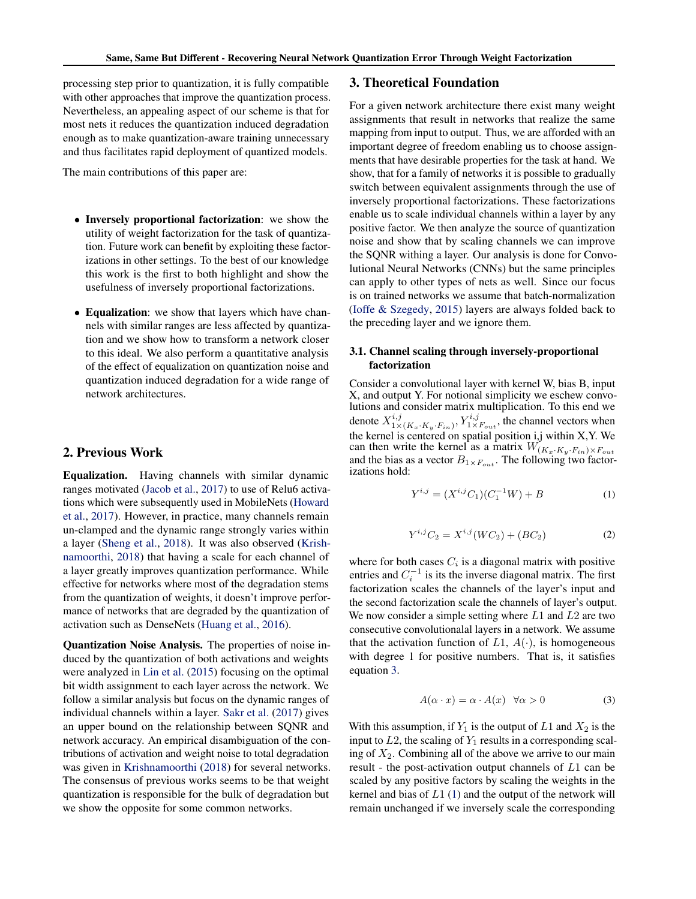<span id="page-1-0"></span>processing step prior to quantization, it is fully compatible with other approaches that improve the quantization process. Nevertheless, an appealing aspect of our scheme is that for most nets it reduces the quantization induced degradation enough as to make quantization-aware training unnecessary and thus facilitates rapid deployment of quantized models.

The main contributions of this paper are:

- Inversely proportional factorization: we show the utility of weight factorization for the task of quantization. Future work can benefit by exploiting these factorizations in other settings. To the best of our knowledge this work is the first to both highlight and show the usefulness of inversely proportional factorizations.
- Equalization: we show that layers which have channels with similar ranges are less affected by quantization and we show how to transform a network closer to this ideal. We also perform a quantitative analysis of the effect of equalization on quantization noise and quantization induced degradation for a wide range of network architectures.

# 2. Previous Work

Equalization. Having channels with similar dynamic ranges motivated [\(Jacob et al.,](#page-8-0) [2017\)](#page-8-0) to use of Relu6 activations which were subsequently used in MobileNets [\(Howard](#page-8-0) [et al.,](#page-8-0) [2017\)](#page-8-0). However, in practice, many channels remain un-clamped and the dynamic range strongly varies within a layer [\(Sheng et al.,](#page-9-0) [2018\)](#page-9-0). It was also observed [\(Krish](#page-8-0)[namoorthi,](#page-8-0) [2018\)](#page-8-0) that having a scale for each channel of a layer greatly improves quantization performance. While effective for networks where most of the degradation stems from the quantization of weights, it doesn't improve performance of networks that are degraded by the quantization of activation such as DenseNets [\(Huang et al.,](#page-8-0) [2016\)](#page-8-0).

Quantization Noise Analysis. The properties of noise induced by the quantization of both activations and weights were analyzed in [Lin et al.](#page-8-0) [\(2015\)](#page-8-0) focusing on the optimal bit width assignment to each layer across the network. We follow a similar analysis but focus on the dynamic ranges of individual channels within a layer. [Sakr et al.](#page-9-0) [\(2017\)](#page-9-0) gives an upper bound on the relationship between SQNR and network accuracy. An empirical disambiguation of the contributions of activation and weight noise to total degradation was given in [Krishnamoorthi](#page-8-0) [\(2018\)](#page-8-0) for several networks. The consensus of previous works seems to be that weight quantization is responsible for the bulk of degradation but we show the opposite for some common networks.

## 3. Theoretical Foundation

For a given network architecture there exist many weight assignments that result in networks that realize the same mapping from input to output. Thus, we are afforded with an important degree of freedom enabling us to choose assignments that have desirable properties for the task at hand. We show, that for a family of networks it is possible to gradually switch between equivalent assignments through the use of inversely proportional factorizations. These factorizations enable us to scale individual channels within a layer by any positive factor. We then analyze the source of quantization noise and show that by scaling channels we can improve the SQNR withing a layer. Our analysis is done for Convolutional Neural Networks (CNNs) but the same principles can apply to other types of nets as well. Since our focus is on trained networks we assume that batch-normalization [\(Ioffe & Szegedy,](#page-8-0) [2015\)](#page-8-0) layers are always folded back to the preceding layer and we ignore them.

# 3.1. Channel scaling through inversely-proportional factorization

Consider a convolutional layer with kernel W, bias B, input X, and output Y. For notional simplicity we eschew convolutions and consider matrix multiplication. To this end we denote  $X_{1\times}^{i,j}$  $\frac{i,j}{1\times (K_x \cdot K_y \cdot F_{in})}$ ,  $Y_{1\times F_{out}}^{i,j}$ , the channel vectors when the kernel is centered on spatial position i,j within X,Y. We can then write the kernel as a matrix  $\tilde{W_{(K_x \cdot K_y \cdot F_{in}) \times F_{out}}}$ and the bias as a vector  $B_{1\times F_{out}}$ . The following two factorizations hold:

$$
Y^{i,j} = (X^{i,j}C_1)(C_1^{-1}W) + B \tag{1}
$$

$$
Y^{i,j}C_2 = X^{i,j}(WC_2) + (BC_2)
$$
 (2)

where for both cases  $C_i$  is a diagonal matrix with positive entries and  $C_i^{-1}$  is its the inverse diagonal matrix. The first factorization scales the channels of the layer's input and the second factorization scale the channels of layer's output. We now consider a simple setting where  $L1$  and  $L2$  are two consecutive convolutionalal layers in a network. We assume that the activation function of  $L1$ ,  $A(·)$ , is homogeneous with degree 1 for positive numbers. That is, it satisfies equation 3.

$$
A(\alpha \cdot x) = \alpha \cdot A(x) \quad \forall \alpha > 0 \tag{3}
$$

With this assumption, if  $Y_1$  is the output of  $L1$  and  $X_2$  is the input to  $L2$ , the scaling of  $Y_1$  results in a corresponding scaling of  $X_2$ . Combining all of the above we arrive to our main result - the post-activation output channels of L1 can be scaled by any positive factors by scaling the weights in the kernel and bias of  $L_1$  (1) and the output of the network will remain unchanged if we inversely scale the corresponding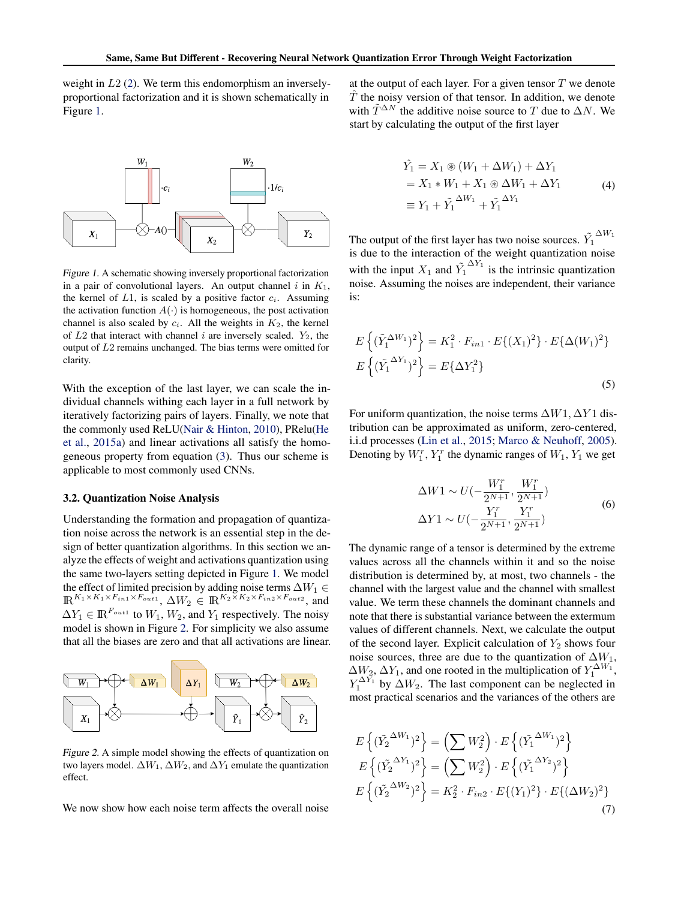<span id="page-2-0"></span>weight in L2 [\(2\)](#page-1-0). We term this endomorphism an inverselyproportional factorization and it is shown schematically in Figure 1.



Figure 1. A schematic showing inversely proportional factorization in a pair of convolutional layers. An output channel  $i$  in  $K_1$ , the kernel of  $L1$ , is scaled by a positive factor  $c_i$ . Assuming the activation function  $A(\cdot)$  is homogeneous, the post activation channel is also scaled by  $c_i$ . All the weights in  $K_2$ , the kernel of  $L2$  that interact with channel i are inversely scaled.  $Y_2$ , the output of L2 remains unchanged. The bias terms were omitted for clarity.

With the exception of the last layer, we can scale the individual channels withing each layer in a full network by iteratively factorizing pairs of layers. Finally, we note that the commonly used ReLU[\(Nair & Hinton,](#page-9-0) [2010\)](#page-9-0), PRelu[\(He](#page-8-0) [et al.,](#page-8-0) [2015a\)](#page-8-0) and linear activations all satisfy the homogeneous property from equation [\(3\)](#page-1-0). Thus our scheme is applicable to most commonly used CNNs.

#### 3.2. Quantization Noise Analysis

Understanding the formation and propagation of quantization noise across the network is an essential step in the design of better quantization algorithms. In this section we analyze the effects of weight and activations quantization using the same two-layers setting depicted in Figure 1. We model the effect of limited precision by adding noise terms  $\Delta W_1 \in$  $\mathbb{R}^{K_1 \times K_1 \times F_{in1} \times F_{out1}}$ ,  $\Delta W_2 \in \mathbb{R}^{K_2 \times K_2 \times F_{in2} \times F_{out2}}$ , and  $\Delta Y_1 \in \mathbb{R}^{F_{out1}}$  to  $W_1, W_2$ , and  $Y_1$  respectively. The noisy model is shown in Figure 2. For simplicity we also assume that all the biases are zero and that all activations are linear.



Figure 2. A simple model showing the effects of quantization on two layers model.  $\Delta W_1$ ,  $\Delta W_2$ , and  $\Delta Y_1$  emulate the quantization effect.

We now show how each noise term affects the overall noise

at the output of each layer. For a given tensor  $T$  we denote  $\hat{T}$  the noisy version of that tensor. In addition, we denote with  $\tilde{T}^{\Delta N}$  the additive noise source to T due to  $\Delta N$ . We start by calculating the output of the first layer

$$
\hat{Y}_1 = X_1 \circledast (W_1 + \Delta W_1) + \Delta Y_1
$$
\n
$$
= X_1 * W_1 + X_1 \circledast \Delta W_1 + \Delta Y_1
$$
\n
$$
\equiv Y_1 + \tilde{Y}_1^{\Delta W_1} + \tilde{Y}_1^{\Delta Y_1}
$$
\n(4)

The output of the first layer has two noise sources.  $\tilde{Y}_1^{\Delta W_1}$ is due to the interaction of the weight quantization noise with the input  $X_1$  and  $\tilde{Y}_1^{\Delta Y_1}$  is the intrinsic quantization noise. Assuming the noises are independent, their variance is:

$$
E\left\{ (\tilde{Y}_1^{\Delta W_1})^2 \right\} = K_1^2 \cdot F_{in1} \cdot E\{(X_1)^2\} \cdot E\{\Delta(W_1)^2\}
$$

$$
E\left\{ (\tilde{Y}_1^{\Delta Y_1})^2 \right\} = E\{\Delta Y_1^2\}
$$
(5)

For uniform quantization, the noise terms  $\Delta W1$ ,  $\Delta Y1$  distribution can be approximated as uniform, zero-centered, i.i.d processes [\(Lin et al.,](#page-8-0) [2015;](#page-8-0) [Marco & Neuhoff,](#page-8-0) [2005\)](#page-8-0). Denoting by  $W_1^r$ ,  $Y_1^r$  the dynamic ranges of  $W_1$ ,  $Y_1$  we get

$$
\Delta W1 \sim U(-\frac{W_1^r}{2^{N+1}}, \frac{W_1^r}{2^{N+1}})
$$
  
\n
$$
\Delta Y1 \sim U(-\frac{Y_1^r}{2^{N+1}}, \frac{Y_1^r}{2^{N+1}})
$$
\n(6)

The dynamic range of a tensor is determined by the extreme values across all the channels within it and so the noise distribution is determined by, at most, two channels - the channel with the largest value and the channel with smallest value. We term these channels the dominant channels and note that there is substantial variance between the extermum values of different channels. Next, we calculate the output of the second layer. Explicit calculation of  $Y_2$  shows four noise sources, three are due to the quantization of  $\Delta W_1$ ,  $\Delta W_2, \Delta Y_1$ , and one rooted in the multiplication of  $Y_1^{\Delta W_1}$ ,  $Y_1^{\Delta Y_1}$  by  $\Delta W_2$ . The last component can be neglected in most practical scenarios and the variances of the others are

$$
E\left\{ (\tilde{Y}_2^{\Delta W_1})^2 \right\} = \left( \sum W_2^2 \right) \cdot E\left\{ (\tilde{Y}_1^{\Delta W_1})^2 \right\}
$$
  
\n
$$
E\left\{ (\tilde{Y}_2^{\Delta Y_1})^2 \right\} = \left( \sum W_2^2 \right) \cdot E\left\{ (\tilde{Y}_1^{\Delta Y_2})^2 \right\}
$$
  
\n
$$
E\left\{ (\tilde{Y}_2^{\Delta W_2})^2 \right\} = K_2^2 \cdot F_{in2} \cdot E\left\{ (Y_1)^2 \right\} \cdot E\left\{ (\Delta W_2)^2 \right\}
$$
  
\n(7)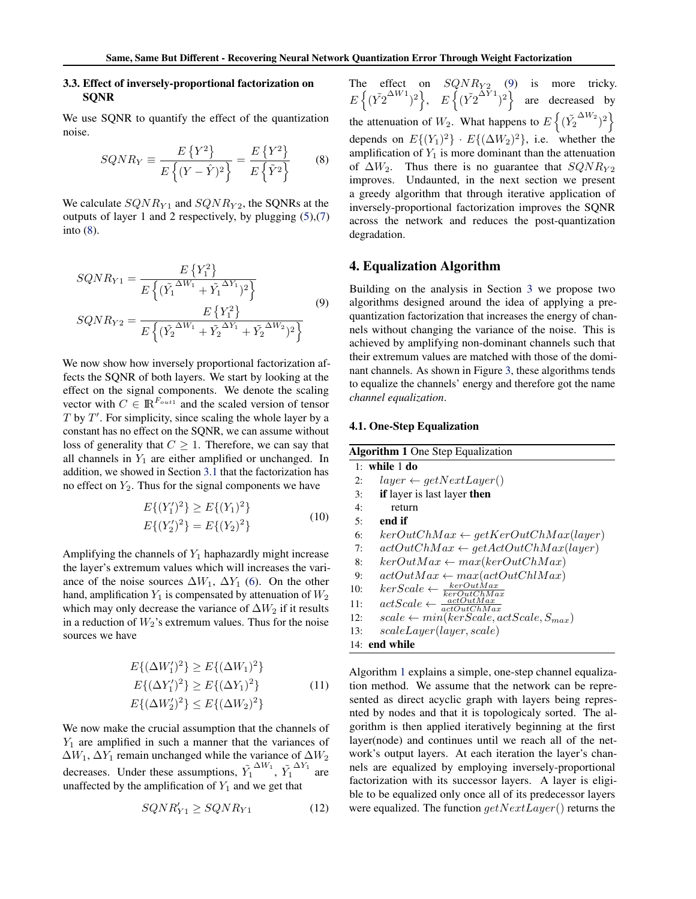## <span id="page-3-0"></span>3.3. Effect of inversely-proportional factorization on SQNR

We use SQNR to quantify the effect of the quantization noise.

$$
SQNR_Y \equiv \frac{E\left\{Y^2\right\}}{E\left\{(Y-\hat{Y})^2\right\}} = \frac{E\left\{Y^2\right\}}{E\left\{\tilde{Y}^2\right\}} \tag{8}
$$

We calculate  $SQNR_{Y1}$  and  $SQNR_{Y2}$ , the SQNRs at the outputs of layer 1 and 2 respectively, by plugging [\(5\)](#page-2-0),[\(7\)](#page-2-0) into (8).

$$
SQNR_{Y1} = \frac{E\left\{Y_1^2\right\}}{E\left\{(\tilde{Y}_1^{\Delta W_1} + \tilde{Y}_1^{\Delta Y_1})^2\right\}}
$$
  

$$
SQNR_{Y2} = \frac{E\left\{Y_1^2\right\}}{E\left\{(\tilde{Y}_2^{\Delta W_1} + \tilde{Y}_2^{\Delta Y_1} + \tilde{Y}_2^{\Delta W_2})^2\right\}}
$$

$$
(9)
$$

We now show how inversely proportional factorization affects the SQNR of both layers. We start by looking at the effect on the signal components. We denote the scaling vector with  $C \in \mathbb{R}^{F_{out1}}$  and the scaled version of tensor  $T$  by  $T'$ . For simplicity, since scaling the whole layer by a constant has no effect on the SQNR, we can assume without loss of generality that  $C \geq 1$ . Therefore, we can say that all channels in  $Y_1$  are either amplified or unchanged. In addition, we showed in Section [3.1](#page-1-0) that the factorization has no effect on  $Y_2$ . Thus for the signal components we have

$$
E\{(Y'_1)^2\} \ge E\{(Y_1)^2\}
$$
  

$$
E\{(Y'_2)^2\} = E\{(Y_2)^2\}
$$
 (10)

Amplifying the channels of  $Y_1$  haphazardly might increase the layer's extremum values which will increases the variance of the noise sources  $\Delta W_1$ ,  $\Delta Y_1$  [\(6\)](#page-2-0). On the other hand, amplification  $Y_1$  is compensated by attenuation of  $W_2$ which may only decrease the variance of  $\Delta W_2$  if it results in a reduction of  $W_2$ 's extremum values. Thus for the noise sources we have

$$
E\{(\Delta W_1')^2\} \ge E\{(\Delta W_1)^2\}
$$
  
\n
$$
E\{(\Delta Y_1')^2\} \ge E\{(\Delta Y_1)^2\}
$$
  
\n
$$
E\{(\Delta W_2')^2\} \le E\{(\Delta W_2)^2\}
$$
\n(11)

We now make the crucial assumption that the channels of  $Y_1$  are amplified in such a manner that the variances of  $\Delta W_1$ ,  $\Delta Y_1$  remain unchanged while the variance of  $\Delta W_2$ decreases. Under these assumptions,  $\tilde{Y}_1^{\Delta W_1}$ ,  $\tilde{Y}_1^{\Delta Y_1}$  are unaffected by the amplification of  $Y_1$  and we get that

$$
SQNR'_{Y1} \ge SQNR_{Y1} \tag{12}
$$

The effect on  $SQNR_{Y2}$  (9) is more tricky.  $E\left\{(\tilde{Y2}^{\Delta W1})^2\right\}, E\left\{(\tilde{Y2}^{\Delta Y1})^2\right\}$  are decreased by the attenuation of  $W_2$ . What happens to  $E\left\{(\tilde{Y}_2^{\Delta W_2})^2\right\}$ depends on  $E\{(Y_1)^2\} \cdot E\{(\Delta W_2)^2\}$ , i.e. whether the amplification of  $Y_1$  is more dominant than the attenuation of  $\Delta W_2$ . Thus there is no guarantee that  $SQNR_{Y2}$ improves. Undaunted, in the next section we present a greedy algorithm that through iterative application of inversely-proportional factorization improves the SQNR across the network and reduces the post-quantization degradation.

# 4. Equalization Algorithm

Building on the analysis in Section [3](#page-1-0) we propose two algorithms designed around the idea of applying a prequantization factorization that increases the energy of channels without changing the variance of the noise. This is achieved by amplifying non-dominant channels such that their extremum values are matched with those of the dominant channels. As shown in Figure [3,](#page-4-0) these algorithms tends to equalize the channels' energy and therefore got the name *channel equalization*.

#### 4.1. One-Step Equalization

| <b>Algorithm 1</b> One Step Equalization |                                                              |  |  |  |  |  |
|------------------------------------------|--------------------------------------------------------------|--|--|--|--|--|
| $1:$ while $1$ do                        |                                                              |  |  |  |  |  |
| 2:                                       | $layer \leftarrow getNextLayer()$                            |  |  |  |  |  |
| 3:                                       | <b>if</b> layer is last layer <b>then</b>                    |  |  |  |  |  |
| 4:                                       | return                                                       |  |  |  |  |  |
| 5:                                       | end if                                                       |  |  |  |  |  |
| 6:                                       | $\ker OutChMax \leftarrow getKerOutChMax(layer)$             |  |  |  |  |  |
| 7:                                       | $actOutChMax \leftarrow getActOutChMax(layer)$               |  |  |  |  |  |
| 8:                                       | $\text{kerOutMax} \leftarrow \text{max}(\text{kerOutChMax})$ |  |  |  |  |  |
| 9:                                       | $actOutMax \leftarrow max(actOutChIMax)$                     |  |  |  |  |  |
| 10:                                      | $kerScale \leftarrow \frac{kerOutMax}{kerOutChMax}$          |  |  |  |  |  |
| 11:                                      | $actScale \leftarrow \frac{actOutMax}{actOutChMax}$          |  |  |  |  |  |
| 12:                                      | $scale \leftarrow min(kerscale, actScale, S_{max})$          |  |  |  |  |  |
| 13:                                      | scaleLayer(layer, scale)                                     |  |  |  |  |  |
|                                          | 14: end while                                                |  |  |  |  |  |

Algorithm 1 explains a simple, one-step channel equalization method. We assume that the network can be represented as direct acyclic graph with layers being represnted by nodes and that it is topologicaly sorted. The algorithm is then applied iteratively beginning at the first layer(node) and continues until we reach all of the network's output layers. At each iteration the layer's channels are equalized by employing inversely-proportional factorization with its successor layers. A layer is eligible to be equalized only once all of its predecessor layers were equalized. The function  $getNextLayer()$  returns the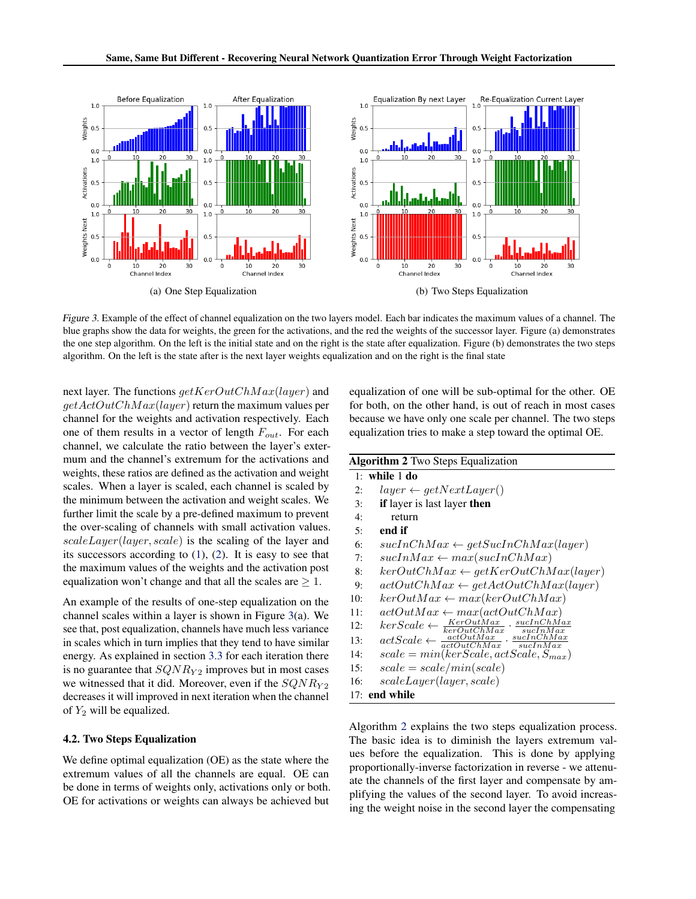<span id="page-4-0"></span>

Figure 3. Example of the effect of channel equalization on the two layers model. Each bar indicates the maximum values of a channel. The blue graphs show the data for weights, the green for the activations, and the red the weights of the successor layer. Figure (a) demonstrates the one step algorithm. On the left is the initial state and on the right is the state after equalization. Figure (b) demonstrates the two steps algorithm. On the left is the state after is the next layer weights equalization and on the right is the final state

next layer. The functions  $getKerOutChMax(layer)$  and  $getActOutChMax(layer)$  return the maximum values per channel for the weights and activation respectively. Each one of them results in a vector of length  $F_{out}$ . For each channel, we calculate the ratio between the layer's extermum and the channel's extremum for the activations and weights, these ratios are defined as the activation and weight scales. When a layer is scaled, each channel is scaled by the minimum between the activation and weight scales. We further limit the scale by a pre-defined maximum to prevent the over-scaling of channels with small activation values. scaleLayer(layer, scale) is the scaling of the layer and its successors according to  $(1)$ ,  $(2)$ . It is easy to see that the maximum values of the weights and the activation post equalization won't change and that all the scales are  $\geq 1$ .

An example of the results of one-step equalization on the channel scales within a layer is shown in Figure 3(a). We see that, post equalization, channels have much less variance in scales which in turn implies that they tend to have similar energy. As explained in section [3.3](#page-3-0) for each iteration there is no guarantee that  $SQNR_{Y2}$  improves but in most cases we witnessed that it did. Moreover, even if the  $SQNR_{Y2}$ decreases it will improved in next iteration when the channel of  $Y_2$  will be equalized.

#### 4.2. Two Steps Equalization

We define optimal equalization (OE) as the state where the extremum values of all the channels are equal. OE can be done in terms of weights only, activations only or both. OE for activations or weights can always be achieved but

equalization of one will be sub-optimal for the other. OE for both, on the other hand, is out of reach in most cases because we have only one scale per channel. The two steps equalization tries to make a step toward the optimal OE.

| <b>Algorithm 2</b> Two Steps Equalization                                                                                                                                                                                                                       |  |  |  |  |  |  |
|-----------------------------------------------------------------------------------------------------------------------------------------------------------------------------------------------------------------------------------------------------------------|--|--|--|--|--|--|
| $1:$ while $1$ do                                                                                                                                                                                                                                               |  |  |  |  |  |  |
| $layer \leftarrow getNextLayer()$<br>2:                                                                                                                                                                                                                         |  |  |  |  |  |  |
| <b>if</b> layer is last layer <b>then</b><br>3:                                                                                                                                                                                                                 |  |  |  |  |  |  |
| 4:<br>return                                                                                                                                                                                                                                                    |  |  |  |  |  |  |
| end if<br>5:                                                                                                                                                                                                                                                    |  |  |  |  |  |  |
| 6:<br>$sucInChMax \leftarrow getSucInChMax(layer)$                                                                                                                                                                                                              |  |  |  |  |  |  |
| $sucInMax \leftarrow max(sucInChMax)$<br>7:                                                                                                                                                                                                                     |  |  |  |  |  |  |
| $\textit{kerOutChMax} \leftarrow \textit{getKerOutChMax}(layer)$<br>8:                                                                                                                                                                                          |  |  |  |  |  |  |
| $actOutChMax \leftarrow getActOutChMax(layer)$<br>9:                                                                                                                                                                                                            |  |  |  |  |  |  |
| $\textit{kerOutMax} \leftarrow \textit{max}(\textit{kerOutChMax})$<br>10:                                                                                                                                                                                       |  |  |  |  |  |  |
| $actOutMax \leftarrow max(actOutChMax)$<br>11:                                                                                                                                                                                                                  |  |  |  |  |  |  |
| $\textit{kerScale} \leftarrow \frac{\textit{KerOutMax}}{\textit{kerOutMax}} \cdot \frac{\textit{suchChMax}}{\textit{suchMax}} \ \textit{actOutMax}}{\frac{\textit{actOutMax}}{\textit{actOutChMax}} \cdot \frac{\textit{suchChMax}}{\textit{suclnMax}}}$<br>12: |  |  |  |  |  |  |
| 13:                                                                                                                                                                                                                                                             |  |  |  |  |  |  |
| $scale = min(kerscale, actScale, S_{max})$<br>14:                                                                                                                                                                                                               |  |  |  |  |  |  |
| $scale = scale/min(scale)$<br>15:                                                                                                                                                                                                                               |  |  |  |  |  |  |
| scaleLayer(layer, scale)<br>16:                                                                                                                                                                                                                                 |  |  |  |  |  |  |
| $17:$ end while                                                                                                                                                                                                                                                 |  |  |  |  |  |  |

Algorithm 2 explains the two steps equalization process. The basic idea is to diminish the layers extremum values before the equalization. This is done by applying proportionally-inverse factorization in reverse - we attenuate the channels of the first layer and compensate by amplifying the values of the second layer. To avoid increasing the weight noise in the second layer the compensating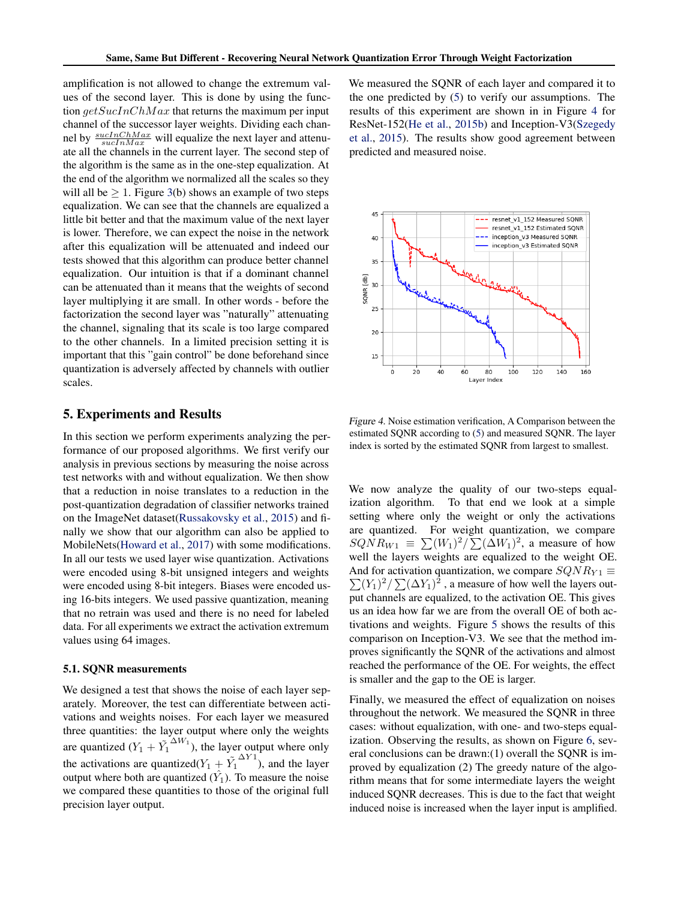amplification is not allowed to change the extremum values of the second layer. This is done by using the function  $getSucInChMax$  that returns the maximum per input channel of the successor layer weights. Dividing each channel by  $\frac{suchChMax}{suchMax}$  will equalize the next layer and attenuate all the channels in the current layer. The second step of the algorithm is the same as in the one-step equalization. At the end of the algorithm we normalized all the scales so they will all be  $\geq 1$ . Figure [3\(](#page-4-0)b) shows an example of two steps equalization. We can see that the channels are equalized a little bit better and that the maximum value of the next layer is lower. Therefore, we can expect the noise in the network after this equalization will be attenuated and indeed our tests showed that this algorithm can produce better channel equalization. Our intuition is that if a dominant channel can be attenuated than it means that the weights of second layer multiplying it are small. In other words - before the factorization the second layer was "naturally" attenuating the channel, signaling that its scale is too large compared to the other channels. In a limited precision setting it is important that this "gain control" be done beforehand since quantization is adversely affected by channels with outlier scales.

# 5. Experiments and Results

In this section we perform experiments analyzing the performance of our proposed algorithms. We first verify our analysis in previous sections by measuring the noise across test networks with and without equalization. We then show that a reduction in noise translates to a reduction in the post-quantization degradation of classifier networks trained on the ImageNet dataset[\(Russakovsky et al.,](#page-9-0) [2015\)](#page-9-0) and finally we show that our algorithm can also be applied to MobileNets[\(Howard et al.,](#page-8-0) [2017\)](#page-8-0) with some modifications. In all our tests we used layer wise quantization. Activations were encoded using 8-bit unsigned integers and weights were encoded using 8-bit integers. Biases were encoded using 16-bits integers. We used passive quantization, meaning that no retrain was used and there is no need for labeled data. For all experiments we extract the activation extremum values using 64 images.

#### 5.1. SQNR measurements

We designed a test that shows the noise of each layer separately. Moreover, the test can differentiate between activations and weights noises. For each layer we measured three quantities: the layer output where only the weights are quantized  $(Y_1 + \tilde{Y_1}^{\Delta W_1})$ , the layer output where only the activations are quantized( $Y_1 + \tilde{Y_1}$  $\Delta Y^1$ ), and the layer output where both are quantized  $(\hat{Y}_1)$ . To measure the noise we compared these quantities to those of the original full precision layer output.

We measured the SQNR of each layer and compared it to the one predicted by [\(5\)](#page-2-0) to verify our assumptions. The results of this experiment are shown in in Figure 4 for ResNet-152[\(He et al.,](#page-8-0) [2015b\)](#page-8-0) and Inception-V3[\(Szegedy](#page-9-0) [et al.,](#page-9-0) [2015\)](#page-9-0). The results show good agreement between predicted and measured noise.



Figure 4. Noise estimation verification, A Comparison between the estimated SQNR according to [\(5\)](#page-2-0) and measured SQNR. The layer index is sorted by the estimated SQNR from largest to smallest.

We now analyze the quality of our two-steps equalization algorithm. To that end we look at a simple setting where only the weight or only the activations are quantized. For weight quantization, we compare  $SQNR_{W1} \equiv \sum (W_1)^2 / \sum (\Delta W_1)^2$ , a measure of how well the layers weights are equalized to the weight OE. And for activation quantization, we compare  $SQNR_{Y1} \equiv$  $\sum (Y_1)^2 / \sum (\Delta Y_1)^2$ , a measure of how well the layers output channels are equalized, to the activation OE. This gives us an idea how far we are from the overall OE of both activations and weights. Figure [5](#page-6-0) shows the results of this comparison on Inception-V3. We see that the method improves significantly the SQNR of the activations and almost reached the performance of the OE. For weights, the effect is smaller and the gap to the OE is larger.

Finally, we measured the effect of equalization on noises throughout the network. We measured the SQNR in three cases: without equalization, with one- and two-steps equalization. Observing the results, as shown on Figure [6,](#page-6-0) several conclusions can be drawn:(1) overall the SQNR is improved by equalization (2) The greedy nature of the algorithm means that for some intermediate layers the weight induced SQNR decreases. This is due to the fact that weight induced noise is increased when the layer input is amplified.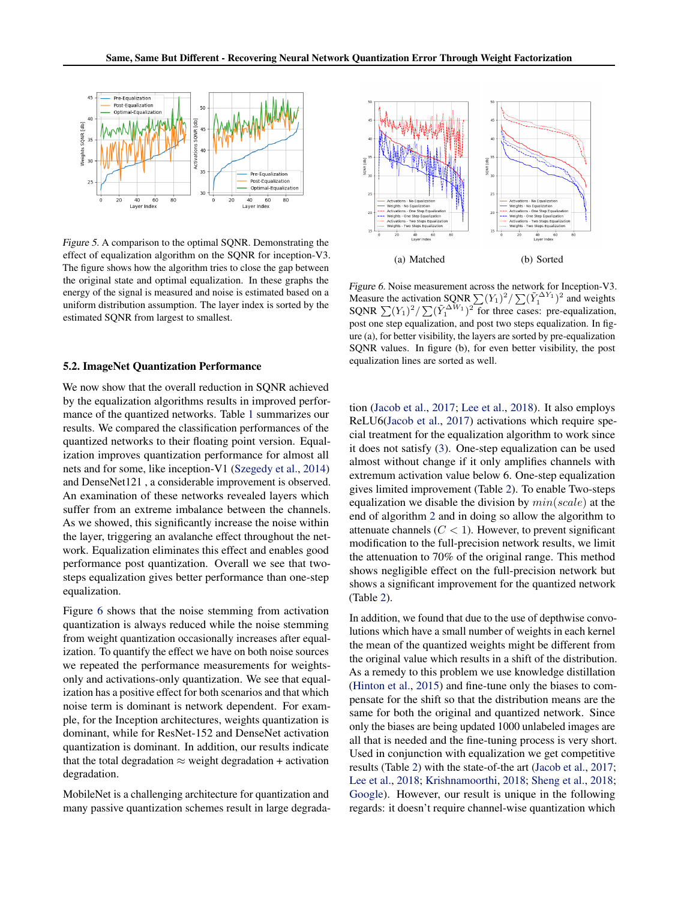<span id="page-6-0"></span>

Figure 5. A comparison to the optimal SQNR. Demonstrating the effect of equalization algorithm on the SQNR for inception-V3. The figure shows how the algorithm tries to close the gap between the original state and optimal equalization. In these graphs the energy of the signal is measured and noise is estimated based on a uniform distribution assumption. The layer index is sorted by the estimated SQNR from largest to smallest.

#### 5.2. ImageNet Quantization Performance

We now show that the overall reduction in SQNR achieved by the equalization algorithms results in improved performance of the quantized networks. Table [1](#page-7-0) summarizes our results. We compared the classification performances of the quantized networks to their floating point version. Equalization improves quantization performance for almost all nets and for some, like inception-V1 [\(Szegedy et al.,](#page-9-0) [2014\)](#page-9-0) and DenseNet121 , a considerable improvement is observed. An examination of these networks revealed layers which suffer from an extreme imbalance between the channels. As we showed, this significantly increase the noise within the layer, triggering an avalanche effect throughout the network. Equalization eliminates this effect and enables good performance post quantization. Overall we see that twosteps equalization gives better performance than one-step equalization.

Figure 6 shows that the noise stemming from activation quantization is always reduced while the noise stemming from weight quantization occasionally increases after equalization. To quantify the effect we have on both noise sources we repeated the performance measurements for weightsonly and activations-only quantization. We see that equalization has a positive effect for both scenarios and that which noise term is dominant is network dependent. For example, for the Inception architectures, weights quantization is dominant, while for ResNet-152 and DenseNet activation quantization is dominant. In addition, our results indicate that the total degradation  $\approx$  weight degradation + activation degradation.

MobileNet is a challenging architecture for quantization and many passive quantization schemes result in large degrada-



Figure 6. Noise measurement across the network for Inception-V3. Measure the activation SQNR  $\sum (Y_1)^2 / \sum (\tilde{Y}_1^{\Delta Y_1})^2$  and weights SQNR  $\sum (Y_1)^2 / \sum (\tilde{Y}_1^{\Delta W_1})^2$  for three cases: pre-equalization, post one step equalization, and post two steps equalization. In figure (a), for better visibility, the layers are sorted by pre-equalization SQNR values. In figure (b), for even better visibility, the post equalization lines are sorted as well.

tion [\(Jacob et al.,](#page-8-0) [2017;](#page-8-0) [Lee et al.,](#page-8-0) [2018\)](#page-8-0). It also employs ReLU6[\(Jacob et al.,](#page-8-0) [2017\)](#page-8-0) activations which require special treatment for the equalization algorithm to work since it does not satisfy [\(3\)](#page-1-0). One-step equalization can be used almost without change if it only amplifies channels with extremum activation value below 6. One-step equalization gives limited improvement (Table [2\)](#page-7-0). To enable Two-steps equalization we disable the division by  $min(scale)$  at the end of algorithm [2](#page-4-0) and in doing so allow the algorithm to attenuate channels  $(C < 1)$ . However, to prevent significant modification to the full-precision network results, we limit the attenuation to 70% of the original range. This method shows negligible effect on the full-precision network but shows a significant improvement for the quantized network (Table [2\)](#page-7-0).

In addition, we found that due to the use of depthwise convolutions which have a small number of weights in each kernel the mean of the quantized weights might be different from the original value which results in a shift of the distribution. As a remedy to this problem we use knowledge distillation [\(Hinton et al.,](#page-8-0) [2015\)](#page-8-0) and fine-tune only the biases to compensate for the shift so that the distribution means are the same for both the original and quantized network. Since only the biases are being updated 1000 unlabeled images are all that is needed and the fine-tuning process is very short. Used in conjunction with equalization we get competitive results (Table [2\)](#page-7-0) with the state-of-the art [\(Jacob et al.,](#page-8-0) [2017;](#page-8-0) [Lee et al.,](#page-8-0) [2018;](#page-8-0) [Krishnamoorthi,](#page-8-0) [2018;](#page-8-0) [Sheng et al.,](#page-9-0) [2018;](#page-9-0) [Google\)](#page-8-0). However, our result is unique in the following regards: it doesn't require channel-wise quantization which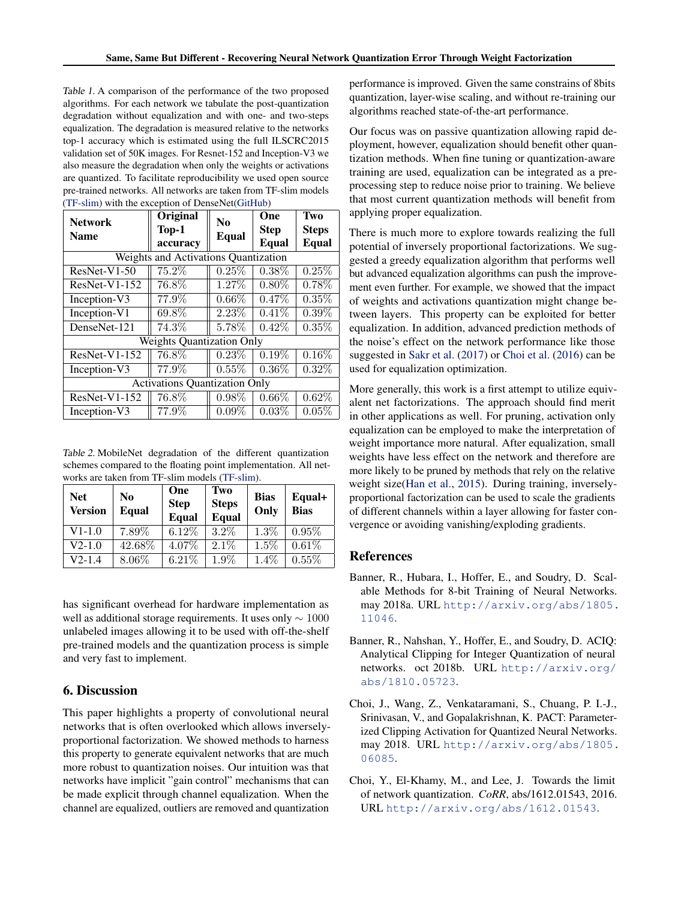<span id="page-7-0"></span>Table 1. A comparison of the performance of the two proposed algorithms. For each network we tabulate the post-quantization degradation without equalization and with one- and two-steps equalization. The degradation is measured relative to the networks top-1 accuracy which is estimated using the full ILSCRC2015 validation set of 50K images. For Resnet-152 and Inception-V3 we also measure the degradation when only the weights or activations are quantized. To facilitate reproducibility we used open source pre-trained networks. All networks are taken from TF-slim models [\(TF-slim\)](#page-9-0) with the exception of DenseNet[\(GitHub\)](#page-8-0)

| <b>Network</b>                       | Original<br>Top-1 | N <sub>0</sub><br>Equal | One<br><b>Step</b> | Two<br><b>Steps</b> |  |  |  |  |
|--------------------------------------|-------------------|-------------------------|--------------------|---------------------|--|--|--|--|
| <b>Name</b>                          | accuracy          |                         | Equal              | Equal               |  |  |  |  |
| Weights and Activations Quantization |                   |                         |                    |                     |  |  |  |  |
| $ResNet-V1-50$                       | 75.2%             | 0.25%                   | $0.38\%$           | 0.25%               |  |  |  |  |
| ResNet-V1-152                        | 76.8%             | 1.27%                   | $0.80\%$           | 0.78%               |  |  |  |  |
| Inception-V3                         | 77.9%             | $0.66\%$                | $0.47\%$           | 0.35%               |  |  |  |  |
| Inception-V1                         | 69.8%             | $2.23\%$                | 0.41%              | $0.39\%$            |  |  |  |  |
| DenseNet-121                         | 74.3%             | 5.78%                   | 0.42%              | 0.35%               |  |  |  |  |
| <b>Weights Quantization Only</b>     |                   |                         |                    |                     |  |  |  |  |
| ResNet-V1-152                        | 76.8%             | 0.23%                   | $0.19\%$           | $0.16\%$            |  |  |  |  |
| Inception-V3                         | 77.9%             | 0.55%                   | $0.36\%$           | $0.32\%$            |  |  |  |  |
| <b>Activations Quantization Only</b> |                   |                         |                    |                     |  |  |  |  |
| $ResNet-V1-152$                      | 76.8%             | 0.98%                   | $0.66\%$           | $0.62\%$            |  |  |  |  |
| Inception-V3                         | 77.9%             | 0.09%                   | $0.03\%$           | 0.05%               |  |  |  |  |

Table 2. MobileNet degradation of the different quantization schemes compared to the floating point implementation. All networks are taken from TF-slim models [\(TF-slim\)](#page-9-0).

| <b>Net</b><br><b>Version</b> | N <sub>0</sub><br><b>Equal</b> | One<br><b>Step</b><br><b>Equal</b> | Two<br><b>Steps</b><br><b>Equal</b> | <b>Bias</b><br>Only | Equal+<br><b>Bias</b> |
|------------------------------|--------------------------------|------------------------------------|-------------------------------------|---------------------|-----------------------|
| $V1-1.0$                     | 7.89\%                         | $6.12\%$                           | $3.2\%$                             | $1.3\%$             | $0.95\%$              |
| $V2-1.0$                     | 42.68%                         | 4.07%                              | $2.1\%$                             | $1.5\%$             | 0.61%                 |
| $V2-1.4$                     | $8.06\%$                       | 6.21%                              | $1.9\%$                             | $1.4\%$             | $0.55\%$              |

has significant overhead for hardware implementation as well as additional storage requirements. It uses only ∼ 1000 unlabeled images allowing it to be used with off-the-shelf pre-trained models and the quantization process is simple and very fast to implement.

# 6. Discussion

This paper highlights a property of convolutional neural networks that is often overlooked which allows inverselyproportional factorization. We showed methods to harness this property to generate equivalent networks that are much more robust to quantization noises. Our intuition was that networks have implicit "gain control" mechanisms that can be made explicit through channel equalization. When the channel are equalized, outliers are removed and quantization

performance is improved. Given the same constrains of 8bits quantization, layer-wise scaling, and without re-training our algorithms reached state-of-the-art performance.

Our focus was on passive quantization allowing rapid deployment, however, equalization should benefit other quantization methods. When fine tuning or quantization-aware training are used, equalization can be integrated as a preprocessing step to reduce noise prior to training. We believe that most current quantization methods will benefit from applying proper equalization.

There is much more to explore towards realizing the full potential of inversely proportional factorizations. We suggested a greedy equalization algorithm that performs well but advanced equalization algorithms can push the improvement even further. For example, we showed that the impact of weights and activations quantization might change between layers. This property can be exploited for better equalization. In addition, advanced prediction methods of the noise's effect on the network performance like those suggested in [Sakr et al.](#page-9-0) [\(2017\)](#page-9-0) or Choi et al. (2016) can be used for equalization optimization.

More generally, this work is a first attempt to utilize equivalent net factorizations. The approach should find merit in other applications as well. For pruning, activation only equalization can be employed to make the interpretation of weight importance more natural. After equalization, small weights have less effect on the network and therefore are more likely to be pruned by methods that rely on the relative weight size[\(Han et al.,](#page-8-0) [2015\)](#page-8-0). During training, inverselyproportional factorization can be used to scale the gradients of different channels within a layer allowing for faster convergence or avoiding vanishing/exploding gradients.

# References

- Banner, R., Hubara, I., Hoffer, E., and Soudry, D. Scalable Methods for 8-bit Training of Neural Networks. may 2018a. URL [http://arxiv.org/abs/1805.](http://arxiv.org/abs/1805.11046) [11046](http://arxiv.org/abs/1805.11046).
- Banner, R., Nahshan, Y., Hoffer, E., and Soudry, D. ACIQ: Analytical Clipping for Integer Quantization of neural networks. oct 2018b. URL [http://arxiv.org/](http://arxiv.org/abs/1810.05723) [abs/1810.05723](http://arxiv.org/abs/1810.05723).
- Choi, J., Wang, Z., Venkataramani, S., Chuang, P. I.-J., Srinivasan, V., and Gopalakrishnan, K. PACT: Parameterized Clipping Activation for Quantized Neural Networks. may 2018. URL [http://arxiv.org/abs/1805.](http://arxiv.org/abs/1805.06085) [06085](http://arxiv.org/abs/1805.06085).
- Choi, Y., El-Khamy, M., and Lee, J. Towards the limit of network quantization. *CoRR*, abs/1612.01543, 2016. URL <http://arxiv.org/abs/1612.01543>.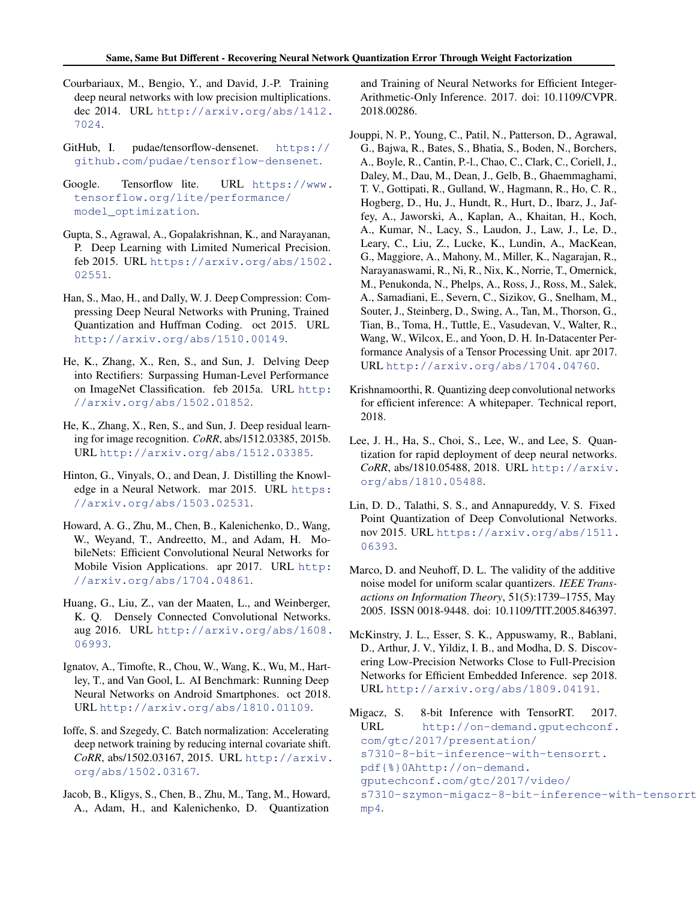- <span id="page-8-0"></span>Courbariaux, M., Bengio, Y., and David, J.-P. Training deep neural networks with low precision multiplications. dec 2014. URL [http://arxiv.org/abs/1412.](http://arxiv.org/abs/1412.7024) [7024](http://arxiv.org/abs/1412.7024).
- GitHub, I. pudae/tensorflow-densenet. [https://](https://github.com/pudae/tensorflow-densenet) [github.com/pudae/tensorflow-densenet](https://github.com/pudae/tensorflow-densenet).
- Google. Tensorflow lite. URL [https://www.](https://www.tensorflow.org/lite/performance/model_optimization) [tensorflow.org/lite/performance/](https://www.tensorflow.org/lite/performance/model_optimization) [model\\_optimization](https://www.tensorflow.org/lite/performance/model_optimization).
- Gupta, S., Agrawal, A., Gopalakrishnan, K., and Narayanan, P. Deep Learning with Limited Numerical Precision. feb 2015. URL [https://arxiv.org/abs/1502.](https://arxiv.org/abs/1502.02551) [02551](https://arxiv.org/abs/1502.02551).
- Han, S., Mao, H., and Dally, W. J. Deep Compression: Compressing Deep Neural Networks with Pruning, Trained Quantization and Huffman Coding. oct 2015. URL <http://arxiv.org/abs/1510.00149>.
- He, K., Zhang, X., Ren, S., and Sun, J. Delving Deep into Rectifiers: Surpassing Human-Level Performance on ImageNet Classification. feb 2015a. URL [http:](http://arxiv.org/abs/1502.01852) [//arxiv.org/abs/1502.01852](http://arxiv.org/abs/1502.01852).
- He, K., Zhang, X., Ren, S., and Sun, J. Deep residual learning for image recognition. *CoRR*, abs/1512.03385, 2015b. URL <http://arxiv.org/abs/1512.03385>.
- Hinton, G., Vinyals, O., and Dean, J. Distilling the Knowledge in a Neural Network. mar 2015. URL [https:](https://arxiv.org/abs/1503.02531) [//arxiv.org/abs/1503.02531](https://arxiv.org/abs/1503.02531).
- Howard, A. G., Zhu, M., Chen, B., Kalenichenko, D., Wang, W., Weyand, T., Andreetto, M., and Adam, H. MobileNets: Efficient Convolutional Neural Networks for Mobile Vision Applications. apr 2017. URL [http:](http://arxiv.org/abs/1704.04861) [//arxiv.org/abs/1704.04861](http://arxiv.org/abs/1704.04861).
- Huang, G., Liu, Z., van der Maaten, L., and Weinberger, K. Q. Densely Connected Convolutional Networks. aug 2016. URL [http://arxiv.org/abs/1608.](http://arxiv.org/abs/1608.06993) [06993](http://arxiv.org/abs/1608.06993).
- Ignatov, A., Timofte, R., Chou, W., Wang, K., Wu, M., Hartley, T., and Van Gool, L. AI Benchmark: Running Deep Neural Networks on Android Smartphones. oct 2018. URL <http://arxiv.org/abs/1810.01109>.
- Ioffe, S. and Szegedy, C. Batch normalization: Accelerating deep network training by reducing internal covariate shift. *CoRR*, abs/1502.03167, 2015. URL [http://arxiv.](http://arxiv.org/abs/1502.03167) [org/abs/1502.03167](http://arxiv.org/abs/1502.03167).
- Jacob, B., Kligys, S., Chen, B., Zhu, M., Tang, M., Howard, A., Adam, H., and Kalenichenko, D. Quantization

and Training of Neural Networks for Efficient Integer-Arithmetic-Only Inference. 2017. doi: 10.1109/CVPR. 2018.00286.

- Jouppi, N. P., Young, C., Patil, N., Patterson, D., Agrawal, G., Bajwa, R., Bates, S., Bhatia, S., Boden, N., Borchers, A., Boyle, R., Cantin, P.-l., Chao, C., Clark, C., Coriell, J., Daley, M., Dau, M., Dean, J., Gelb, B., Ghaemmaghami, T. V., Gottipati, R., Gulland, W., Hagmann, R., Ho, C. R., Hogberg, D., Hu, J., Hundt, R., Hurt, D., Ibarz, J., Jaffey, A., Jaworski, A., Kaplan, A., Khaitan, H., Koch, A., Kumar, N., Lacy, S., Laudon, J., Law, J., Le, D., Leary, C., Liu, Z., Lucke, K., Lundin, A., MacKean, G., Maggiore, A., Mahony, M., Miller, K., Nagarajan, R., Narayanaswami, R., Ni, R., Nix, K., Norrie, T., Omernick, M., Penukonda, N., Phelps, A., Ross, J., Ross, M., Salek, A., Samadiani, E., Severn, C., Sizikov, G., Snelham, M., Souter, J., Steinberg, D., Swing, A., Tan, M., Thorson, G., Tian, B., Toma, H., Tuttle, E., Vasudevan, V., Walter, R., Wang, W., Wilcox, E., and Yoon, D. H. In-Datacenter Performance Analysis of a Tensor Processing Unit. apr 2017. URL <http://arxiv.org/abs/1704.04760>.
- Krishnamoorthi, R. Quantizing deep convolutional networks for efficient inference: A whitepaper. Technical report, 2018.
- Lee, J. H., Ha, S., Choi, S., Lee, W., and Lee, S. Quantization for rapid deployment of deep neural networks. *CoRR*, abs/1810.05488, 2018. URL [http://arxiv.](http://arxiv.org/abs/1810.05488) [org/abs/1810.05488](http://arxiv.org/abs/1810.05488).
- Lin, D. D., Talathi, S. S., and Annapureddy, V. S. Fixed Point Quantization of Deep Convolutional Networks. nov 2015. URL [https://arxiv.org/abs/1511.](https://arxiv.org/abs/1511.06393) [06393](https://arxiv.org/abs/1511.06393).
- Marco, D. and Neuhoff, D. L. The validity of the additive noise model for uniform scalar quantizers. *IEEE Transactions on Information Theory*, 51(5):1739–1755, May 2005. ISSN 0018-9448. doi: 10.1109/TIT.2005.846397.
- McKinstry, J. L., Esser, S. K., Appuswamy, R., Bablani, D., Arthur, J. V., Yildiz, I. B., and Modha, D. S. Discovering Low-Precision Networks Close to Full-Precision Networks for Efficient Embedded Inference. sep 2018. URL <http://arxiv.org/abs/1809.04191>.
- Migacz, S. 8-bit Inference with TensorRT. 2017. URL [http://on-demand.gputechconf.](http://on-demand.gputechconf.com/gtc/2017/presentation/s7310-8-bit-inference-with-tensorrt.pdf{%}0Ahttp://on-demand.gputechconf.com/gtc/2017/video/s7310-szymon-migacz-8-bit-inference-with-tensorrt.mp4) [com/gtc/2017/presentation/](http://on-demand.gputechconf.com/gtc/2017/presentation/s7310-8-bit-inference-with-tensorrt.pdf{%}0Ahttp://on-demand.gputechconf.com/gtc/2017/video/s7310-szymon-migacz-8-bit-inference-with-tensorrt.mp4) [s7310-8-bit-inference-with-tensorrt.](http://on-demand.gputechconf.com/gtc/2017/presentation/s7310-8-bit-inference-with-tensorrt.pdf{%}0Ahttp://on-demand.gputechconf.com/gtc/2017/video/s7310-szymon-migacz-8-bit-inference-with-tensorrt.mp4) [pdf{%}0Ahttp://on-demand.](http://on-demand.gputechconf.com/gtc/2017/presentation/s7310-8-bit-inference-with-tensorrt.pdf{%}0Ahttp://on-demand.gputechconf.com/gtc/2017/video/s7310-szymon-migacz-8-bit-inference-with-tensorrt.mp4) [gputechconf.com/gtc/2017/video/](http://on-demand.gputechconf.com/gtc/2017/presentation/s7310-8-bit-inference-with-tensorrt.pdf{%}0Ahttp://on-demand.gputechconf.com/gtc/2017/video/s7310-szymon-migacz-8-bit-inference-with-tensorrt.mp4) [s7310-szymon-migacz-8-bit-inference-wi](http://on-demand.gputechconf.com/gtc/2017/presentation/s7310-8-bit-inference-with-tensorrt.pdf{%}0Ahttp://on-demand.gputechconf.com/gtc/2017/video/s7310-szymon-migacz-8-bit-inference-with-tensorrt.mp4)th-tensorrt. [mp4](http://on-demand.gputechconf.com/gtc/2017/presentation/s7310-8-bit-inference-with-tensorrt.pdf{%}0Ahttp://on-demand.gputechconf.com/gtc/2017/video/s7310-szymon-migacz-8-bit-inference-with-tensorrt.mp4).